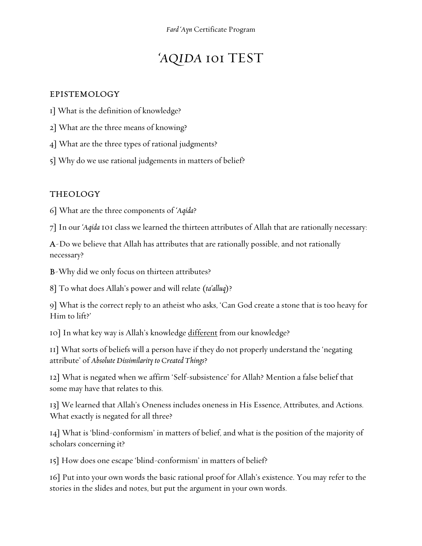# 'AQIDA 101 TEST

#### EPISTEMOLOGY

- 1] What is the definition of knowledge?
- 2] What are the three means of knowing?
- 4] What are the three types of rational judgments?
- 5] Why do we use rational judgements in matters of belief?

### THEOLOGY

6] What are the three components of 'Aqida?

7] In our 'Aqida 101 class we learned the thirteen attributes of Allah that are rationally necessary:

A-Do we believe that Allah has attributes that are rationally possible, and not rationally necessary?

B-Why did we only focus on thirteen attributes?

8] To what does Allah's power and will relate (ta'alluq)?

9] What is the correct reply to an atheist who asks, 'Can God create a stone that is too heavy for Him to lift?'

10] In what key way is Allah's knowledge different from our knowledge?

11] What sorts of beliefs will a person have if they do not properly understand the 'negating attribute' of Absolute Dissimilarity to Created Things?

12] What is negated when we affirm 'Self-subsistence' for Allah? Mention a false belief that some may have that relates to this.

13] We learned that Allah's Oneness includes oneness in His Essence, Attributes, and Actions. What exactly is negated for all three?

14] What is 'blind-conformism' in matters of belief, and what is the position of the majority of scholars concerning it?

15] How does one escape 'blind-conformism' in matters of belief?

16] Put into your own words the basic rational proof for Allah's existence. You may refer to the stories in the slides and notes, but put the argument in your own words.